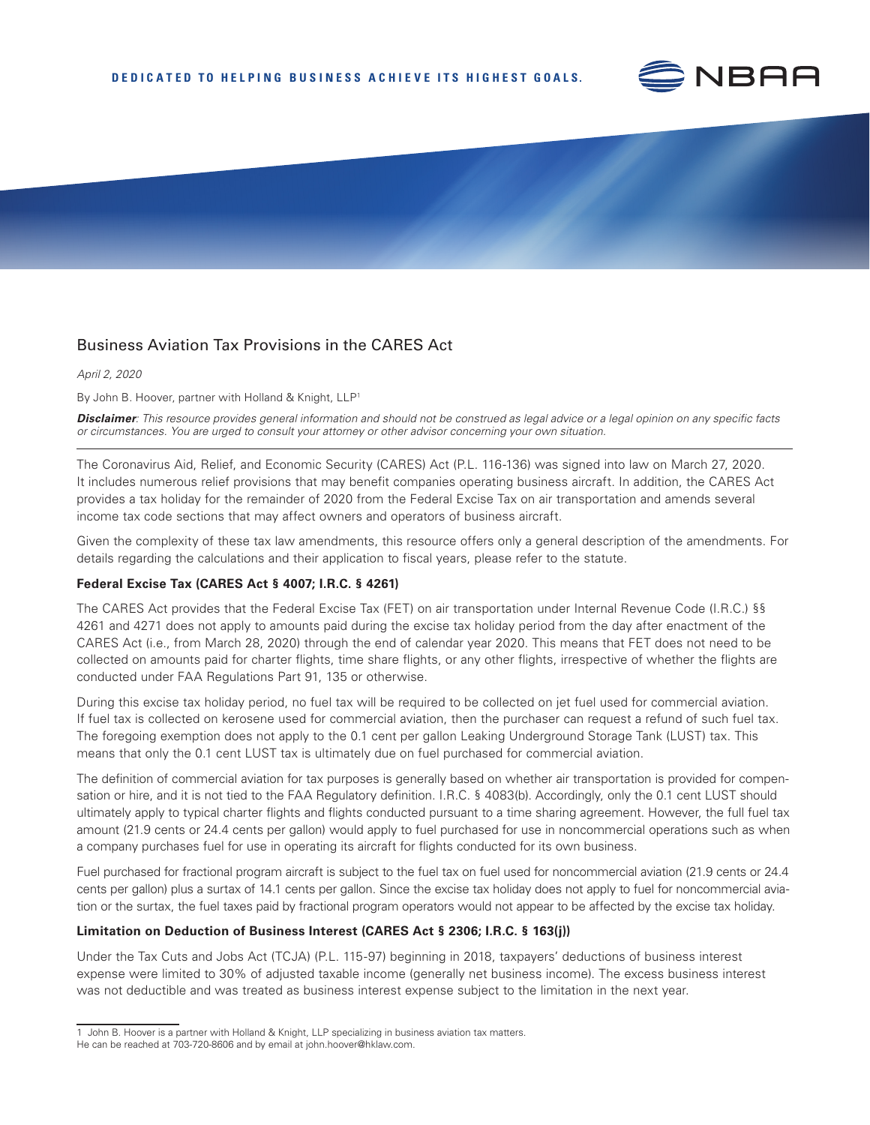

# Business Aviation Tax Provisions in the CARES Act

*April 2, 2020*

By John B. Hoover, partner with Holland & Knight, LLP<sup>1</sup>

*Disclaimer: This resource provides general information and should not be construed as legal advice or a legal opinion on any specific facts or circumstances. You are urged to consult your attorney or other advisor concerning your own situation.*

The [Coronavirus Aid, Relief, and Economic Security \(CARES\) Act](https://www.congress.gov/bill/116th-congress/senate-bill/3548/text) (P.L. 116-136) was signed into law on March 27, 2020. It includes [numerous relief provisions that may benefit companies operating business aircraft.](https://nbaa.org/aircraft-operations/safety/coronavirus/nbaa-resource-outlines-care-act-benefits-for-industry/) In addition, the CARES Act provides a tax holiday for the remainder of 2020 from the Federal Excise Tax on air transportation and amends several income tax code sections that may affect owners and operators of business aircraft.

Given the complexity of these tax law amendments, this resource offers only a general description of the amendments. For details regarding the calculations and their application to fiscal years, please refer to the statute.

#### **Federal Excise Tax (CARES Act § 4007; I.R.C. § 4261)**

The CARES Act provides that the Federal Excise Tax (FET) on air transportation under Internal Revenue Code (I.R.C.) §§ 4261 and 4271 does not apply to amounts paid during the excise tax holiday period from the day after enactment of the CARES Act (i.e., from March 28, 2020) through the end of calendar year 2020. This means that FET does not need to be collected on amounts paid for charter flights, time share flights, or any other flights, irrespective of whether the flights are conducted under FAA Regulations Part 91, 135 or otherwise.

During this excise tax holiday period, no fuel tax will be required to be collected on jet fuel used for commercial aviation. If fuel tax is collected on kerosene used for commercial aviation, then the purchaser can request a refund of such fuel tax. The foregoing exemption does not apply to the 0.1 cent per gallon Leaking Underground Storage Tank (LUST) tax. This means that only the 0.1 cent LUST tax is ultimately due on fuel purchased for commercial aviation.

The definition of commercial aviation for tax purposes is generally based on whether air transportation is provided for compensation or hire, and it is not tied to the FAA Regulatory definition. I.R.C. § 4083(b). Accordingly, only the 0.1 cent LUST should ultimately apply to typical charter flights and flights conducted pursuant to a time sharing agreement. However, the full fuel tax amount (21.9 cents or 24.4 cents per gallon) would apply to fuel purchased for use in noncommercial operations such as when a company purchases fuel for use in operating its aircraft for flights conducted for its own business.

Fuel purchased for fractional program aircraft is subject to the fuel tax on fuel used for noncommercial aviation (21.9 cents or 24.4 cents per gallon) plus a surtax of 14.1 cents per gallon. Since the excise tax holiday does not apply to fuel for noncommercial aviation or the surtax, the fuel taxes paid by fractional program operators would not appear to be affected by the excise tax holiday.

#### **Limitation on Deduction of Business Interest (CARES Act § 2306; I.R.C. § 163(j))**

Under the Tax Cuts and Jobs Act (TCJA) (P.L. 115-97) beginning in 2018, taxpayers' deductions of business interest expense were limited to 30% of adjusted taxable income (generally net business income). The excess business interest was not deductible and was treated as business interest expense subject to the limitation in the next year.

<sup>1</sup> John B. Hoover is a partner with Holland & Knight, LLP specializing in business aviation tax matters.

He can be reached at 703-720-8606 and by email at john.hoover@hklaw.com.